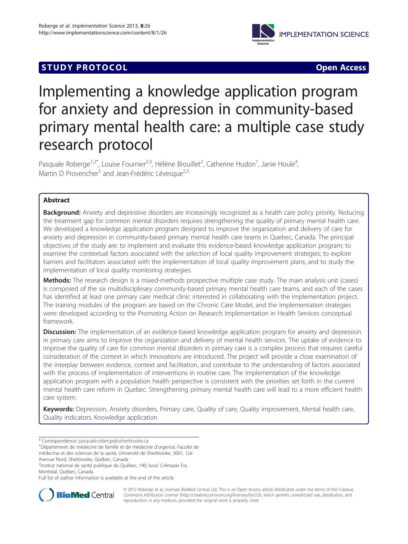## **STUDY PROTOCOL CONSUMING THE CONSUMING OPEN ACCESS**



# Implementing a knowledge application program for anxiety and depression in community-based primary mental health care: a multiple case study research protocol

Pasquale Roberge<sup>1,2\*</sup>, Louise Fournier<sup>2,3</sup>, Hélène Brouillet<sup>2</sup>, Catherine Hudon<sup>1</sup>, Janie Houle<sup>4</sup> , Martin D Provencher<sup>5</sup> and Jean-Frédéric Lévesque<sup>2,3</sup>

### Abstract

Background: Anxiety and depressive disorders are increasingly recognized as a health care policy priority. Reducing the treatment gap for common mental disorders requires strengthening the quality of primary mental health care. We developed a knowledge application program designed to improve the organization and delivery of care for anxiety and depression in community-based primary mental health care teams in Quebec, Canada. The principal objectives of the study are: to implement and evaluate this evidence-based knowledge application program; to examine the contextual factors associated with the selection of local quality improvement strategies; to explore barriers and facilitators associated with the implementation of local quality improvement plans; and to study the implementation of local quality monitoring strategies.

Methods: The research design is a mixed-methods prospective multiple case study. The main analysis unit (cases) is composed of the six multidisciplinary community-based primary mental health care teams, and each of the cases has identified at least one primary care medical clinic interested in collaborating with the implementation project. The training modules of the program are based on the Chronic Care Model, and the implementation strategies were developed according to the Promoting Action on Research Implementation in Health Services conceptual framework.

**Discussion:** The implementation of an evidence-based knowledge application program for anxiety and depression in primary care aims to improve the organization and delivery of mental health services. The uptake of evidence to improve the quality of care for common mental disorders in primary care is a complex process that requires careful consideration of the context in which innovations are introduced. The project will provide a close examination of the interplay between evidence, context and facilitation, and contribute to the understanding of factors associated with the process of implementation of interventions in routine care. The implementation of the knowledge application program with a population health perspective is consistent with the priorities set forth in the current mental health care reform in Quebec. Strengthening primary mental health care will lead to a more efficient health care system.

Keywords: Depression, Anxiety disorders, Primary care, Quality of care, Quality improvement, Mental health care, Quality indicators, Knowledge application

Avenue Nord, Sherbrooke, Québec, Canada

<sup>2</sup>Institut national de santé publique du Québec, 190, boul. Crémazie Est, Montréal, Québec, Canada

Full list of author information is available at the end of the article



© 2013 Roberge et al.; licensee BioMed Central Ltd. This is an Open Access article distributed under the terms of the Creative Commons Attribution License [\(http://creativecommons.org/licenses/by/2.0\)](http://creativecommons.org/licenses/by/2.0), which permits unrestricted use, distribution, and reproduction in any medium, provided the original work is properly cited.

<sup>\*</sup> Correspondence: [pasquale.roberge@usherbrooke.ca](mailto:pasquale.roberge@usherbrooke.ca) <sup>1</sup>

Département de médecine de famille et de médecine d'urgence, Faculté de médecine et des sciences de la santé, Université de Sherbrooke, 3001, 12e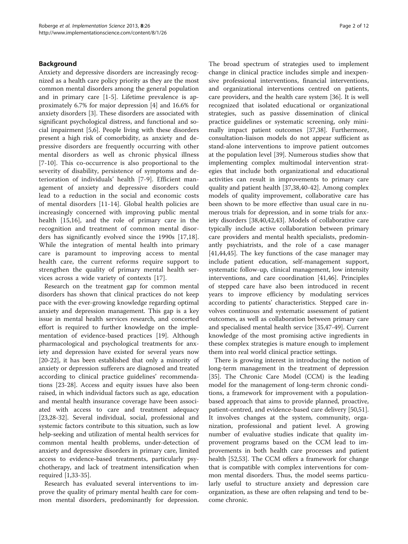#### Background

Anxiety and depressive disorders are increasingly recognized as a health care policy priority as they are the most common mental disorders among the general population and in primary care [[1](#page-9-0)-[5\]](#page-9-0). Lifetime prevalence is approximately 6.7% for major depression [\[4](#page-9-0)] and 16.6% for anxiety disorders [\[3](#page-9-0)]. These disorders are associated with significant psychological distress, and functional and social impairment [[5,6\]](#page-9-0). People living with these disorders present a high risk of comorbidity, as anxiety and depressive disorders are frequently occurring with other mental disorders as well as chronic physical illness [[7-10\]](#page-9-0). This co-occurrence is also proportional to the severity of disability, persistence of symptoms and deterioration of individuals' health [[7](#page-9-0)-[9\]](#page-9-0). Efficient management of anxiety and depressive disorders could lead to a reduction in the social and economic costs of mental disorders [[11](#page-9-0)[-14](#page-10-0)]. Global health policies are increasingly concerned with improving public mental health [[15,16\]](#page-10-0), and the role of primary care in the recognition and treatment of common mental disorders has significantly evolved since the 1990s [[17,18](#page-10-0)]. While the integration of mental health into primary care is paramount to improving access to mental health care, the current reforms require support to strengthen the quality of primary mental health services across a wide variety of contexts [[17](#page-10-0)].

Research on the treatment gap for common mental disorders has shown that clinical practices do not keep pace with the ever-growing knowledge regarding optimal anxiety and depression management. This gap is a key issue in mental health services research, and concerted effort is required to further knowledge on the implementation of evidence-based practices [\[19\]](#page-10-0). Although pharmacological and psychological treatments for anxiety and depression have existed for several years now [[20-22](#page-10-0)], it has been established that only a minority of anxiety or depression sufferers are diagnosed and treated according to clinical practice guidelines' recommendations [[23](#page-10-0)-[28\]](#page-10-0). Access and equity issues have also been raised, in which individual factors such as age, education and mental health insurance coverage have been associated with access to care and treatment adequacy [[23,28-32\]](#page-10-0). Several individual, social, professional and systemic factors contribute to this situation, such as low help-seeking and utilization of mental health services for common mental health problems, under-detection of anxiety and depressive disorders in primary care, limited access to evidence-based treatments, particularly psychotherapy, and lack of treatment intensification when required [\[1](#page-9-0)[,33](#page-10-0)-[35\]](#page-10-0).

Research has evaluated several interventions to improve the quality of primary mental health care for common mental disorders, predominantly for depression.

The broad spectrum of strategies used to implement change in clinical practice includes simple and inexpensive professional interventions, financial interventions, and organizational interventions centred on patients, care providers, and the health care system [[36\]](#page-10-0). It is well recognized that isolated educational or organizational strategies, such as passive dissemination of clinical practice guidelines or systematic screening, only minimally impact patient outcomes [[37,38\]](#page-10-0). Furthermore, consultation-liaison models do not appear sufficient as stand-alone interventions to improve patient outcomes at the population level [[39\]](#page-10-0). Numerous studies show that implementing complex multimodal intervention strategies that include both organizational and educational activities can result in improvements to primary care quality and patient health [\[37,38,40](#page-10-0)-[42\]](#page-10-0). Among complex models of quality improvement, collaborative care has been shown to be more effective than usual care in numerous trials for depression, and in some trials for anxiety disorders [[38,40,42](#page-10-0),[43](#page-10-0)]. Models of collaborative care typically include active collaboration between primary care providers and mental health specialists, predominantly psychiatrists, and the role of a case manager [[41,44,45\]](#page-10-0). The key functions of the case manager may include patient education, self-management support, systematic follow-up, clinical management, low intensity interventions, and care coordination [[41,46\]](#page-10-0). Principles of stepped care have also been introduced in recent years to improve efficiency by modulating services according to patients' characteristics. Stepped care involves continuous and systematic assessment of patient outcomes, as well as collaboration between primary care and specialised mental health service [[35,47-49\]](#page-10-0). Current knowledge of the most promising active ingredients in these complex strategies is mature enough to implement them into real world clinical practice settings.

There is growing interest in introducing the notion of long-term management in the treatment of depression [[35\]](#page-10-0). The Chronic Care Model (CCM) is the leading model for the management of long-term chronic conditions, a framework for improvement with a populationbased approach that aims to provide planned, proactive, patient-centred, and evidence-based care delivery [\[50,51](#page-10-0)]. It involves changes at the system, community, organization, professional and patient level. A growing number of evaluative studies indicate that quality improvement programs based on the CCM lead to improvements in both health care processes and patient health [[52](#page-10-0),[53](#page-10-0)]. The CCM offers a framework for change that is compatible with complex interventions for common mental disorders. Thus, the model seems particularly useful to structure anxiety and depression care organization, as these are often relapsing and tend to become chronic.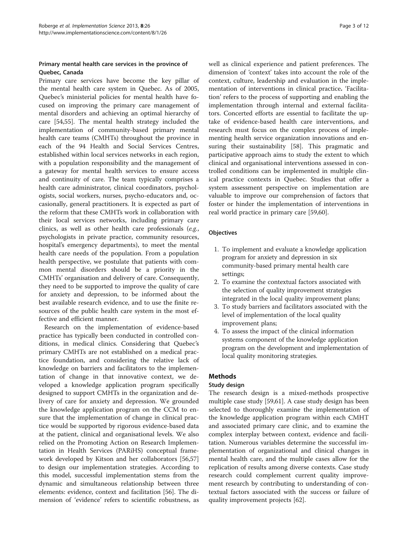#### Primary mental health care services in the province of Quebec, Canada

Primary care services have become the key pillar of the mental health care system in Quebec. As of 2005, Quebec's ministerial policies for mental health have focused on improving the primary care management of mental disorders and achieving an optimal hierarchy of care [\[54,55\]](#page-11-0). The mental health strategy included the implementation of community-based primary mental health care teams (CMHTs) throughout the province in each of the 94 Health and Social Services Centres, established within local services networks in each region, with a population responsibility and the management of a gateway for mental health services to ensure access and continuity of care. The team typically comprises a health care administrator, clinical coordinators, psychologists, social workers, nurses, psycho-educators and, occasionally, general practitioners. It is expected as part of the reform that these CMHTs work in collaboration with their local services networks, including primary care clinics, as well as other health care professionals (e.g., psychologists in private practice, community resources, hospital's emergency departments), to meet the mental health care needs of the population. From a population health perspective, we postulate that patients with common mental disorders should be a priority in the CMHTs' organisation and delivery of care. Consequently, they need to be supported to improve the quality of care for anxiety and depression, to be informed about the best available research evidence, and to use the finite resources of the public health care system in the most effective and efficient manner.

Research on the implementation of evidence-based practice has typically been conducted in controlled conditions, in medical clinics. Considering that Quebec's primary CMHTs are not established on a medical practice foundation, and considering the relative lack of knowledge on barriers and facilitators to the implementation of change in that innovative context, we developed a knowledge application program specifically designed to support CMHTs in the organization and delivery of care for anxiety and depression. We grounded the knowledge application program on the CCM to ensure that the implementation of change in clinical practice would be supported by rigorous evidence-based data at the patient, clinical and organisational levels. We also relied on the Promoting Action on Research Implementation in Health Services (PARiHS) conceptual framework developed by Kitson and her collaborators [[56](#page-11-0),[57](#page-11-0)] to design our implementation strategies. According to this model, successful implementation stems from the dynamic and simultaneous relationship between three elements: evidence, context and facilitation [\[56](#page-11-0)]. The dimension of 'evidence' refers to scientific robustness, as well as clinical experience and patient preferences. The dimension of 'context' takes into account the role of the context, culture, leadership and evaluation in the implementation of interventions in clinical practice. 'Facilitation' refers to the process of supporting and enabling the implementation through internal and external facilitators. Concerted efforts are essential to facilitate the uptake of evidence-based health care interventions, and research must focus on the complex process of implementing health service organization innovations and ensuring their sustainability [[58](#page-11-0)]. This pragmatic and participative approach aims to study the extent to which clinical and organisational interventions assessed in controlled conditions can be implemented in multiple clinical practice contexts in Quebec. Studies that offer a system assessment perspective on implementation are valuable to improve our comprehension of factors that foster or hinder the implementation of interventions in real world practice in primary care [\[59,60\]](#page-11-0).

#### **Objectives**

- 1. To implement and evaluate a knowledge application program for anxiety and depression in six community-based primary mental health care settings;
- 2. To examine the contextual factors associated with the selection of quality improvement strategies integrated in the local quality improvement plans;
- 3. To study barriers and facilitators associated with the level of implementation of the local quality improvement plans;
- 4. To assess the impact of the clinical information systems component of the knowledge application program on the development and implementation of local quality monitoring strategies.

#### Methods

#### Study design

The research design is a mixed-methods prospective multiple case study [\[59,61](#page-11-0)]. A case study design has been selected to thoroughly examine the implementation of the knowledge application program within each CMHT and associated primary care clinic, and to examine the complex interplay between context, evidence and facilitation. Numerous variables determine the successful implementation of organizational and clinical changes in mental health care, and the multiple cases allow for the replication of results among diverse contexts. Case study research could complement current quality improvement research by contributing to understanding of contextual factors associated with the success or failure of quality improvement projects [[62](#page-11-0)].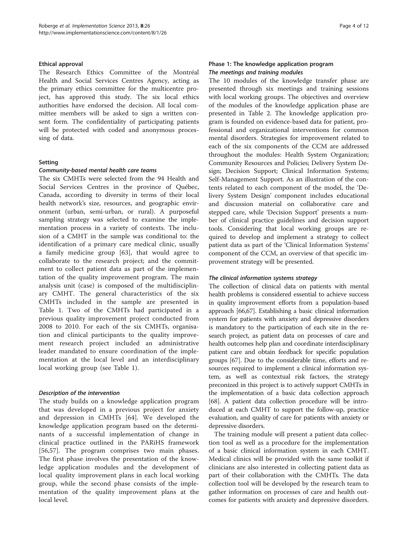#### Ethical approval

The Research Ethics Committee of the Montréal Health and Social Services Centres Agency, acting as the primary ethics committee for the multicentre project, has approved this study. The six local ethics authorities have endorsed the decision. All local committee members will be asked to sign a written consent form. The confidentiality of participating patients will be protected with coded and anonymous processing of data.

#### Setting

#### Community-based mental health care teams

The six CMHTs were selected from the 94 Health and Social Services Centres in the province of Québec, Canada, according to diversity in terms of their local health network's size, resources, and geographic environment (urban, semi-urban, or rural). A purposeful sampling strategy was selected to examine the implementation process in a variety of contexts. The inclusion of a CMHT in the sample was conditional to: the identification of a primary care medical clinic, usually a family medicine group [[63](#page-11-0)], that would agree to collaborate to the research project; and the commitment to collect patient data as part of the implementation of the quality improvement program. The main analysis unit (case) is composed of the multidisciplinary CMHT. The general characteristics of the six CMHTs included in the sample are presented in Table [1](#page-4-0). Two of the CMHTs had participated in a previous quality improvement project conducted from 2008 to 2010. For each of the six CMHTs, organisation and clinical participants to the quality improvement research project included an administrative leader mandated to ensure coordination of the implementation at the local level and an interdisciplinary local working group (see Table [1](#page-4-0)).

#### Description of the intervention

The study builds on a knowledge application program that was developed in a previous project for anxiety and depression in CMHTs [[64\]](#page-11-0). We developed the knowledge application program based on the determinants of a successful implementation of change in clinical practice outlined in the PARiHS framework [[56,57](#page-11-0)]. The program comprises two main phases. The first phase involves the presentation of the knowledge application modules and the development of local quality improvement plans in each local working group, while the second phase consists of the implementation of the quality improvement plans at the local level.

#### Phase 1: The knowledge application program The meetings and training modules

The 10 modules of the knowledge transfer phase are presented through six meetings and training sessions with local working groups. The objectives and overview of the modules of the knowledge application phase are presented in Table [2](#page-5-0). The knowledge application program is founded on evidence-based data for patient, professional and organizational interventions for common mental disorders. Strategies for improvement related to each of the six components of the CCM are addressed throughout the modules: Health System Organization; Community Resources and Policies; Delivery System Design; Decision Support; Clinical Information Systems; Self-Management Support. As an illustration of the contents related to each component of the model, the 'Delivery System Design' component includes educational and discussion material on collaborative care and stepped care, while 'Decision Support' presents a number of clinical practice guidelines and decision support tools. Considering that local working groups are required to develop and implement a strategy to collect patient data as part of the 'Clinical Information Systems' component of the CCM, an overview of that specific improvement strategy will be presented.

#### The clinical information systems strategy

The collection of clinical data on patients with mental health problems is considered essential to achieve success in quality improvement efforts from a population-based approach [\[66,67](#page-11-0)]. Establishing a basic clinical information system for patients with anxiety and depressive disorders is mandatory to the participation of each site in the research project, as patient data on processes of care and health outcomes help plan and coordinate interdisciplinary patient care and obtain feedback for specific population groups [\[67](#page-11-0)]. Due to the considerable time, efforts and resources required to implement a clinical information system, as well as contextual risk factors, the strategy preconized in this project is to actively support CMHTs in the implementation of a basic data collection approach [[68](#page-11-0)]. A patient data collection procedure will be introduced at each CMHT to support the follow-up, practice evaluation, and quality of care for patients with anxiety or depressive disorders.

The training module will present a patient data collection tool as well as a procedure for the implementation of a basic clinical information system in each CMHT. Medical clinics will be provided with the same toolkit if clinicians are also interested in collecting patient data as part of their collaboration with the CMHTs. The data collection tool will be developed by the research team to gather information on processes of care and health outcomes for patients with anxiety and depressive disorders.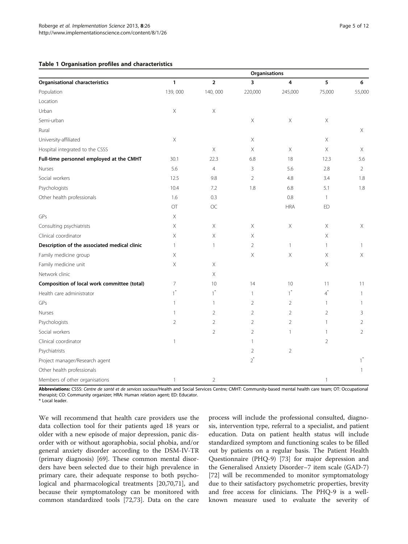#### <span id="page-4-0"></span>Table 1 Organisation profiles and characteristics

|                                              |                           | Organisations             |                |                |                |                |  |
|----------------------------------------------|---------------------------|---------------------------|----------------|----------------|----------------|----------------|--|
| Organisational characteristics               | 1                         | $\overline{2}$            | 3              | 4              | 5              | 6              |  |
| Population                                   | 139,000                   | 140,000                   | 220,000        | 245,000        | 75,000         | 55,000         |  |
| Location                                     |                           |                           |                |                |                |                |  |
| Urban                                        | $\times$                  | $\boldsymbol{\mathsf{X}}$ |                |                |                |                |  |
| Semi-urban                                   |                           |                           | Χ              | $\mathsf X$    | Χ              |                |  |
| Rural                                        |                           |                           |                |                |                | Χ              |  |
| University-affiliated                        | $\boldsymbol{\mathsf{X}}$ |                           | Χ              |                | Χ              |                |  |
| Hospital integrated to the CSSS              |                           | Χ                         | Χ              | Χ              | X              | X              |  |
| Full-time personnel employed at the CMHT     | 30.1                      | 22.3                      | 6.8            | 18             | 12.3           | 5.6            |  |
| Nurses                                       | 5.6                       | $\overline{4}$            | 3              | 5.6            | 2.8            | $\overline{2}$ |  |
| Social workers                               | 12.5                      | 9.8                       | $\overline{2}$ | 4.8            | 3.4            | 1.8            |  |
| Psychologists                                | 10.4                      | 7.2                       | 1.8            | 6.8            | 5.1            | 1.8            |  |
| Other health professionals                   | 1.6                       | 0.3                       |                | 0.8            | $\mathbf{1}$   |                |  |
|                                              | OT                        | <b>OC</b>                 |                | <b>HRA</b>     | ED             |                |  |
| GPs                                          | Χ                         |                           |                |                |                |                |  |
| Consulting psychiatrists                     | Χ                         | Χ                         | Χ              | Χ              | Χ              | Χ              |  |
| Clinical coordinator                         | X                         | Χ                         | Χ              |                | Χ              |                |  |
| Description of the associated medical clinic | 1                         | $\overline{1}$            | $\overline{2}$ | $\mathbf{1}$   | $\mathbf{1}$   | 1              |  |
| Family medicine group                        | Χ                         |                           | Χ              | Χ              | X              | Χ              |  |
| Family medicine unit                         | Χ                         | Χ                         |                |                | Χ              |                |  |
| Network clinic                               |                           | Χ                         |                |                |                |                |  |
| Composition of local work committee (total)  | 7                         | 10                        | 14             | 10             | 11             | 11             |  |
| Health care administrator                    | $1^*$                     | $1^*$                     | 1              | $1^*$          | $4^*$          | 1              |  |
| GPs                                          | 1                         | $\overline{1}$            | 2              | 2              | 1              | 1              |  |
| Nurses                                       | 1                         | $\overline{2}$            | $\overline{2}$ | $\overline{2}$ | $\overline{2}$ | 3              |  |
| Psychologists                                | $\overline{2}$            | $\overline{2}$            | $\overline{2}$ | $\overline{2}$ | $\mathbf{1}$   | $\overline{2}$ |  |
| Social workers                               |                           | $\overline{2}$            | $\overline{2}$ | 1              | 1              | $\overline{2}$ |  |
| Clinical coordinator                         | $\mathbf{1}$              |                           | $\mathbf{1}$   |                | $\overline{2}$ |                |  |
| Psychiatrists                                |                           |                           | $\overline{2}$ | $\overline{2}$ |                |                |  |
| Project manager/Research agent               |                           |                           | $2^*$          |                |                | $1^*$          |  |
| Other health professionals                   |                           |                           |                |                |                | 1              |  |
| Members of other organisations               | $\mathbf{1}$              | $\overline{2}$            |                |                | $\mathbf{1}$   |                |  |

Abbreviations: CSSS: Centre de santé et de services sociaux/Health and Social Services Centre; CMHT: Community-based mental health care team; OT: Occupational therapist; CO: Community organizer; HRA: Human relation agent; ED: Educator.

\* Local leader.

We will recommend that health care providers use the data collection tool for their patients aged 18 years or older with a new episode of major depression, panic disorder with or without agoraphobia, social phobia, and/or general anxiety disorder according to the DSM-IV-TR (primary diagnosis) [[69\]](#page-11-0). These common mental disorders have been selected due to their high prevalence in primary care, their adequate response to both psychological and pharmacological treatments [[20](#page-10-0),[70](#page-11-0),[71](#page-11-0)], and because their symptomatology can be monitored with common standardized tools [\[72,73](#page-11-0)]. Data on the care

process will include the professional consulted, diagnosis, intervention type, referral to a specialist, and patient education. Data on patient health status will include standardized symptom and functioning scales to be filled out by patients on a regular basis. The Patient Health Questionnaire (PHQ-9) [\[73](#page-11-0)] for major depression and the Generalised Anxiety Disorder–7 item scale (GAD-7) [[72\]](#page-11-0) will be recommended to monitor symptomatology due to their satisfactory psychometric properties, brevity and free access for clinicians. The PHQ-9 is a wellknown measure used to evaluate the severity of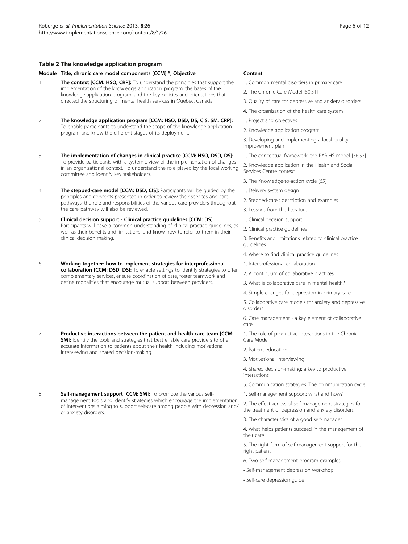<span id="page-5-0"></span>

|                | Table 2 The knowledge application program                                                                                                                                                                     |                                                                                                             |  |  |  |  |  |
|----------------|---------------------------------------------------------------------------------------------------------------------------------------------------------------------------------------------------------------|-------------------------------------------------------------------------------------------------------------|--|--|--|--|--|
|                | Module Title, chronic care model components [CCM] *, Objective                                                                                                                                                | Content                                                                                                     |  |  |  |  |  |
| 1              | The context [CCM: HSO, CRP]: To understand the principles that support the                                                                                                                                    | 1. Common mental disorders in primary care                                                                  |  |  |  |  |  |
|                | implementation of the knowledge application program, the bases of the<br>knowledge application program, and the key policies and orientations that                                                            | 2. The Chronic Care Model [50,51]                                                                           |  |  |  |  |  |
|                | directed the structuring of mental health services in Quebec, Canada.                                                                                                                                         | 3. Quality of care for depressive and anxiety disorders                                                     |  |  |  |  |  |
|                |                                                                                                                                                                                                               | 4. The organization of the health care system                                                               |  |  |  |  |  |
| $\overline{2}$ | The knowledge application program [CCM: HSO, DSD, DS, CIS, SM, CRP]:                                                                                                                                          | 1. Project and objectives                                                                                   |  |  |  |  |  |
|                | To enable participants to understand the scope of the knowledge application<br>program and know the different stages of its deployment.                                                                       | 2. Knowledge application program                                                                            |  |  |  |  |  |
|                |                                                                                                                                                                                                               | 3. Developing and implementing a local quality<br>improvement plan                                          |  |  |  |  |  |
| 3              | The implementation of changes in clinical practice [CCM: HSO, DSD, DS]:                                                                                                                                       | 1. The conceptual framework: the PARiHS model [56,57]                                                       |  |  |  |  |  |
|                | To provide participants with a systemic view of the implementation of changes<br>in an organizational context. To understand the role played by the local working<br>committee and identify key stakeholders. | 2. Knowledge application in the Health and Social<br>Services Centre context                                |  |  |  |  |  |
|                |                                                                                                                                                                                                               | 3. The Knowledge-to-action cycle [65]                                                                       |  |  |  |  |  |
| 4              | The stepped-care model [CCM: DSD, CIS]: Participants will be guided by the                                                                                                                                    | 1. Delivery system design                                                                                   |  |  |  |  |  |
|                | principles and concepts presented in order to review their services and care<br>pathways; the role and responsibilities of the various care providers throughout                                              | 2. Stepped-care: description and examples                                                                   |  |  |  |  |  |
|                | the care pathway will also be reviewed.                                                                                                                                                                       | 3. Lessons from the literature                                                                              |  |  |  |  |  |
| 5              | Clinical decision support - Clinical practice guidelines [CCM: DS]:                                                                                                                                           | 1. Clinical decision support                                                                                |  |  |  |  |  |
|                | Participants will have a common understanding of clinical practice quidelines, as<br>well as their benefits and limitations, and know how to refer to them in their                                           | 2. Clinical practice quidelines                                                                             |  |  |  |  |  |
|                | clinical decision making.                                                                                                                                                                                     | 3. Benefits and limitations related to clinical practice<br>quidelines                                      |  |  |  |  |  |
|                |                                                                                                                                                                                                               | 4. Where to find clinical practice guidelines                                                               |  |  |  |  |  |
| 6              | Working together: how to implement strategies for interprofessional                                                                                                                                           | 1. Interprofessional collaboration                                                                          |  |  |  |  |  |
|                | collaboration [CCM: DSD, DS]: To enable settings to identify strategies to offer<br>complementary services, ensure coordination of care, foster teamwork and                                                  | 2. A continuum of collaborative practices                                                                   |  |  |  |  |  |
|                | define modalities that encourage mutual support between providers.                                                                                                                                            | 3. What is collaborative care in mental health?                                                             |  |  |  |  |  |
|                |                                                                                                                                                                                                               | 4. Simple changes for depression in primary care                                                            |  |  |  |  |  |
|                |                                                                                                                                                                                                               | 5. Collaborative care models for anxiety and depressive<br>disorders                                        |  |  |  |  |  |
|                |                                                                                                                                                                                                               | 6. Case management - a key element of collaborative<br>care                                                 |  |  |  |  |  |
| $\overline{7}$ | Productive interactions between the patient and health care team [CCM:<br>SM]: Identify the tools and strategies that best enable care providers to offer                                                     | 1. The role of productive interactions in the Chronic<br>Care Model                                         |  |  |  |  |  |
|                | accurate information to patients about their health including motivational<br>interviewing and shared decision-making.                                                                                        | 2. Patient education                                                                                        |  |  |  |  |  |
|                |                                                                                                                                                                                                               | 3. Motivational interviewing                                                                                |  |  |  |  |  |
|                |                                                                                                                                                                                                               | 4. Shared decision-making: a key to productive<br>interactions                                              |  |  |  |  |  |
|                |                                                                                                                                                                                                               | 5. Communication strategies: The communication cycle                                                        |  |  |  |  |  |
| 8              | Self-management support [CCM: SM]: To promote the various self-                                                                                                                                               | 1. Self-management support: what and how?                                                                   |  |  |  |  |  |
|                | management tools and identify strategies which encourage the implementation<br>of interventions aiming to support self-care among people with depression and/<br>or anxiety disorders.                        | 2. The effectiveness of self-management strategies for<br>the treatment of depression and anxiety disorders |  |  |  |  |  |
|                |                                                                                                                                                                                                               | 3. The characteristics of a good self-manager                                                               |  |  |  |  |  |
|                |                                                                                                                                                                                                               | 4. What helps patients succeed in the management of<br>their care                                           |  |  |  |  |  |
|                |                                                                                                                                                                                                               | 5. The right form of self-management support for the<br>right patient                                       |  |  |  |  |  |
|                |                                                                                                                                                                                                               | 6. Two self-management program examples:                                                                    |  |  |  |  |  |
|                |                                                                                                                                                                                                               | · Self-management depression workshop                                                                       |  |  |  |  |  |
|                |                                                                                                                                                                                                               | · Self-care depression guide                                                                                |  |  |  |  |  |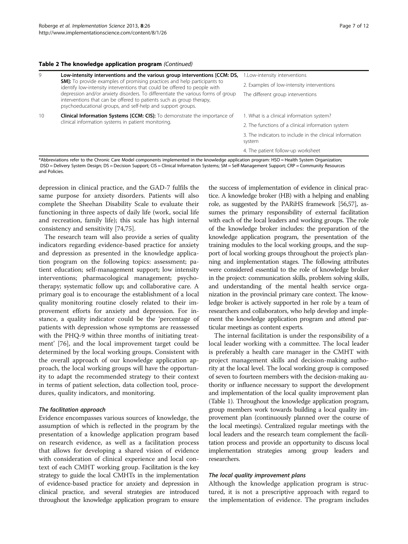#### Table 2 The knowledge application program (Continued)

| 9                                                         | Low-intensity interventions and the various group interventions [CCM: DS,<br><b>SM]:</b> To provide examples of promising practices and help participants to<br>identify low-intensity interventions that could be offered to people with<br>depression and/or anxiety disorders. To differentiate the various forms of group<br>interventions that can be offered to patients such as group therapy,<br>psychoeducational groups, and self-help and support groups. | 1. Low-intensity interventions<br>2. Examples of low-intensity interventions<br>The different group interventions |  |
|-----------------------------------------------------------|----------------------------------------------------------------------------------------------------------------------------------------------------------------------------------------------------------------------------------------------------------------------------------------------------------------------------------------------------------------------------------------------------------------------------------------------------------------------|-------------------------------------------------------------------------------------------------------------------|--|
| 10<br>clinical information systems in patient monitoring. | Clinical Information Systems [CCM: CIS]: To demonstrate the importance of                                                                                                                                                                                                                                                                                                                                                                                            | 1. What is a clinical information system?                                                                         |  |
|                                                           | 2. The functions of a clinical information system                                                                                                                                                                                                                                                                                                                                                                                                                    |                                                                                                                   |  |
|                                                           |                                                                                                                                                                                                                                                                                                                                                                                                                                                                      | 3. The indicators to include in the clinical information<br>system                                                |  |
|                                                           |                                                                                                                                                                                                                                                                                                                                                                                                                                                                      | 4. The patient follow-up worksheet                                                                                |  |

\*Abbreviations refer to the Chronic Care Model components implemented in the knowledge application program: HSO = Health System Organization; DSD = Delivery System Design; DS = Decision Support; CIS = Clinical Information Systems; SM = Self-Management Support; CRP = Community Resources and Policies.

depression in clinical practice, and the GAD-7 fulfils the same purpose for anxiety disorders. Patients will also complete the Sheehan Disability Scale to evaluate their functioning in three aspects of daily life (work, social life and recreation, family life); this scale has high internal consistency and sensitivity [[74,75\]](#page-11-0).

The research team will also provide a series of quality indicators regarding evidence-based practice for anxiety and depression as presented in the knowledge application program on the following topics: assessment; patient education; self-management support; low intensity interventions; pharmacological management; psychotherapy; systematic follow up; and collaborative care. A primary goal is to encourage the establishment of a local quality monitoring routine closely related to their improvement efforts for anxiety and depression. For instance, a quality indicator could be the 'percentage of patients with depression whose symptoms are reassessed with the PHQ-9 within three months of initiating treatment' [\[76](#page-11-0)], and the local improvement target could be determined by the local working groups. Consistent with the overall approach of our knowledge application approach, the local working groups will have the opportunity to adapt the recommended strategy to their context in terms of patient selection, data collection tool, procedures, quality indicators, and monitoring.

#### The facilitation approach

Evidence encompasses various sources of knowledge, the assumption of which is reflected in the program by the presentation of a knowledge application program based on research evidence, as well as a facilitation process that allows for developing a shared vision of evidence with consideration of clinical experience and local context of each CMHT working group. Facilitation is the key strategy to guide the local CMHTs in the implementation of evidence-based practice for anxiety and depression in clinical practice, and several strategies are introduced throughout the knowledge application program to ensure the success of implementation of evidence in clinical practice. A knowledge broker (HB) with a helping and enabling role, as suggested by the PARiHS framework [\[56,57\]](#page-11-0), assumes the primary responsibility of external facilitation with each of the local leaders and working groups. The role of the knowledge broker includes: the preparation of the knowledge application program, the presentation of the training modules to the local working groups, and the support of local working groups throughout the project's planning and implementation stages. The following attributes were considered essential to the role of knowledge broker in the project: communication skills, problem solving skills, and understanding of the mental health service organization in the provincial primary care context. The knowledge broker is actively supported in her role by a team of researchers and collaborators, who help develop and implement the knowledge application program and attend particular meetings as content experts.

The internal facilitation is under the responsibility of a local leader working with a committee. The local leader is preferably a health care manager in the CMHT with project management skills and decision-making authority at the local level. The local working group is composed of seven to fourteen members with the decision-making authority or influence necessary to support the development and implementation of the local quality improvement plan (Table [1\)](#page-4-0). Throughout the knowledge application program, group members work towards building a local quality improvement plan (continuously planned over the course of the local meetings). Centralized regular meetings with the local leaders and the research team complement the facilitation process and provide an opportunity to discuss local implementation strategies among group leaders and researchers.

#### The local quality improvement plans

Although the knowledge application program is structured, it is not a prescriptive approach with regard to the implementation of evidence. The program includes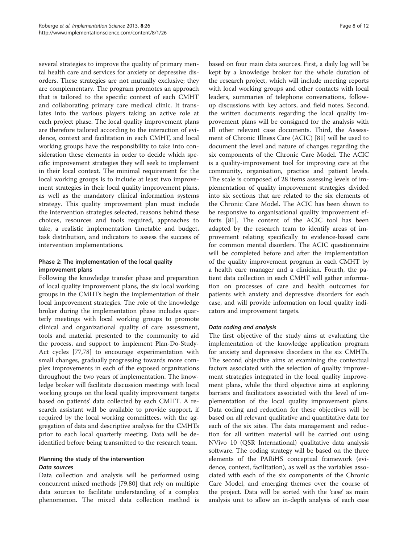several strategies to improve the quality of primary mental health care and services for anxiety or depressive disorders. These strategies are not mutually exclusive; they are complementary. The program promotes an approach that is tailored to the specific context of each CMHT and collaborating primary care medical clinic. It translates into the various players taking an active role at each project phase. The local quality improvement plans are therefore tailored according to the interaction of evidence, context and facilitation in each CMHT, and local working groups have the responsibility to take into consideration these elements in order to decide which specific improvement strategies they will seek to implement in their local context. The minimal requirement for the local working groups is to include at least two improvement strategies in their local quality improvement plans, as well as the mandatory clinical information systems strategy. This quality improvement plan must include the intervention strategies selected, reasons behind these choices, resources and tools required, approaches to take, a realistic implementation timetable and budget, task distribution, and indicators to assess the success of intervention implementations.

#### Phase 2: The implementation of the local quality improvement plans

Following the knowledge transfer phase and preparation of local quality improvement plans, the six local working groups in the CMHTs begin the implementation of their local improvement strategies. The role of the knowledge broker during the implementation phase includes quarterly meetings with local working groups to promote clinical and organizational quality of care assessment, tools and material presented to the community to aid the process, and support to implement Plan-Do-Study-Act cycles [\[77,78\]](#page-11-0) to encourage experimentation with small changes, gradually progressing towards more complex improvements in each of the exposed organizations throughout the two years of implementation. The knowledge broker will facilitate discussion meetings with local working groups on the local quality improvement targets based on patients' data collected by each CMHT. A research assistant will be available to provide support, if required by the local working committees, with the aggregation of data and descriptive analysis for the CMHTs prior to each local quarterly meeting. Data will be deidentified before being transmitted to the research team.

#### Planning the study of the intervention Data sources

Data collection and analysis will be performed using concurrent mixed methods [[79,80\]](#page-11-0) that rely on multiple data sources to facilitate understanding of a complex phenomenon. The mixed data collection method is

based on four main data sources. First, a daily log will be kept by a knowledge broker for the whole duration of the research project, which will include meeting reports with local working groups and other contacts with local leaders, summaries of telephone conversations, followup discussions with key actors, and field notes. Second, the written documents regarding the local quality improvement plans will be consigned for the analysis with all other relevant case documents. Third, the Assessment of Chronic Illness Care (ACIC) [[81\]](#page-11-0) will be used to document the level and nature of changes regarding the six components of the Chronic Care Model. The ACIC is a quality-improvement tool for improving care at the community, organisation, practice and patient levels. The scale is composed of 28 items assessing levels of implementation of quality improvement strategies divided into six sections that are related to the six elements of the Chronic Care Model. The ACIC has been shown to be responsive to organisational quality improvement efforts [[81\]](#page-11-0). The content of the ACIC tool has been adapted by the research team to identify areas of improvement relating specifically to evidence-based care for common mental disorders. The ACIC questionnaire will be completed before and after the implementation of the quality improvement program in each CMHT by a health care manager and a clinician. Fourth, the patient data collection in each CMHT will gather information on processes of care and health outcomes for patients with anxiety and depressive disorders for each case, and will provide information on local quality indicators and improvement targets.

#### Data coding and analysis

The first objective of the study aims at evaluating the implementation of the knowledge application program for anxiety and depressive disorders in the six CMHTs. The second objective aims at examining the contextual factors associated with the selection of quality improvement strategies integrated in the local quality improvement plans, while the third objective aims at exploring barriers and facilitators associated with the level of implementation of the local quality improvement plans. Data coding and reduction for these objectives will be based on all relevant qualitative and quantitative data for each of the six sites. The data management and reduction for all written material will be carried out using NVivo 10 (QSR International) qualitative data analysis software. The coding strategy will be based on the three elements of the PARiHS conceptual framework (evidence, context, facilitation), as well as the variables associated with each of the six components of the Chronic Care Model, and emerging themes over the course of the project. Data will be sorted with the 'case' as main analysis unit to allow an in-depth analysis of each case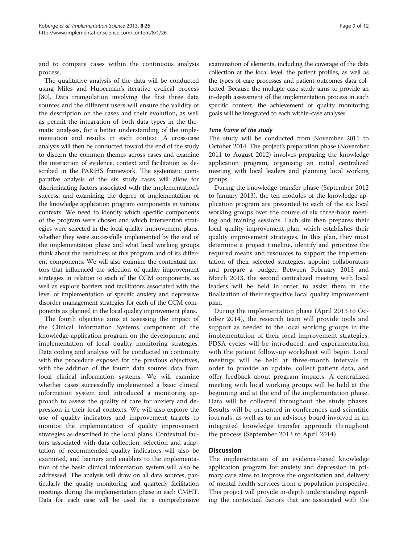and to compare cases within the continuous analysis process.

The qualitative analysis of the data will be conducted using Miles and Huberman's iterative cyclical process [[80\]](#page-11-0). Data triangulation involving the first three data sources and the different users will ensure the validity of the description on the cases and their evolution, as well as permit the integration of both data types in the thematic analyses, for a better understanding of the implementation and results in each context. A cross-case analysis will then be conducted toward the end of the study to discern the common themes across cases and examine the interaction of evidence, context and facilitation as described in the PARiHS framework. The systematic comparative analysis of the six study cases will allow for discriminating factors associated with the implementation's success, and examining the degree of implementation of the knowledge application program components in various contexts. We need to identify which specific components of the program were chosen and which intervention strategies were selected in the local quality improvement plans, whether they were successfully implemented by the end of the implementation phase and what local working groups think about the usefulness of this program and of its different components. We will also examine the contextual factors that influenced the selection of quality improvement strategies in relation to each of the CCM components, as well as explore barriers and facilitators associated with the level of implementation of specific anxiety and depressive disorder management strategies for each of the CCM components as planned in the local quality improvement plans.

The fourth objective aims at assessing the impact of the Clinical Information Systems component of the knowledge application program on the development and implementation of local quality monitoring strategies. Data coding and analysis will be conducted in continuity with the procedure exposed for the previous objectives, with the addition of the fourth data source: data from local clinical information systems. We will examine whether cases successfully implemented a basic clinical information system and introduced a monitoring approach to assess the quality of care for anxiety and depression in their local contexts. We will also explore the use of quality indicators and improvement targets to monitor the implementation of quality improvement strategies as described in the local plans. Contextual factors associated with data collection, selection and adaptation of recommended quality indicators will also be examined, and barriers and enablers to the implementation of the basic clinical information system will also be addressed. The analysis will draw on all data sources, particularly the quality monitoring and quarterly facilitation meetings during the implementation phase in each CMHT. Data for each case will be used for a comprehensive examination of elements, including the coverage of the data collection at the local level, the patient profiles, as well as the types of care processes and patient outcomes data collected. Because the multiple case study aims to provide an in-depth assessment of the implementation process in each specific context, the achievement of quality monitoring goals will be integrated to each within-case analyses.

#### Time frame of the study

The study will be conducted from November 2011 to October 2014. The project's preparation phase (November 2011 to August 2012) involves preparing the knowledge application program, organising an initial centralized meeting with local leaders and planning local working groups.

During the knowledge transfer phase (September 2012 to January 2013), the ten modules of the knowledge application program are presented to each of the six local working groups over the course of six three-hour meeting and training sessions. Each site then prepares their local quality improvement plan, which establishes their quality improvement strategies. In this plan, they must determine a project timeline, identify and prioritize the required means and resources to support the implementation of their selected strategies, appoint collaborators and prepare a budget. Between February 2013 and March 2013, the second centralized meeting with local leaders will be held in order to assist them in the finalization of their respective local quality improvement plan.

During the implementation phase (April 2013 to October 2014), the research team will provide tools and support as needed to the local working groups in the implementation of their local improvement strategies. PDSA cycles will be introduced, and experimentation with the patient follow-up worksheet will begin. Local meetings will be held at three-month intervals in order to provide an update, collect patient data, and offer feedback about program impacts. A centralized meeting with local working groups will be held at the beginning and at the end of the implementation phase. Data will be collected throughout the study phases. Results will be presented in conferences and scientific journals, as well as to an advisory board involved in an integrated knowledge transfer approach throughout the process (September 2013 to April 2014).

#### **Discussion**

The implementation of an evidence-based knowledge application program for anxiety and depression in primary care aims to improve the organisation and delivery of mental health services from a population perspective. This project will provide in-depth understanding regarding the contextual factors that are associated with the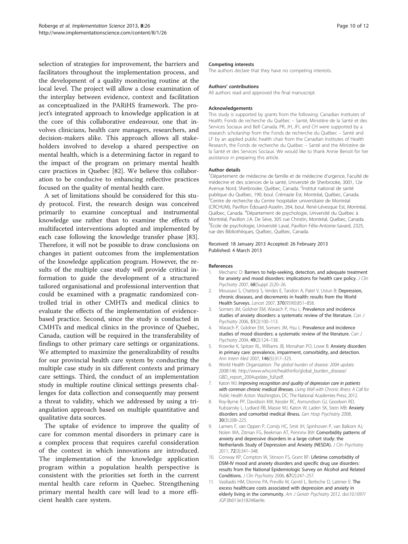<span id="page-9-0"></span>selection of strategies for improvement, the barriers and facilitators throughout the implementation process, and the development of a quality monitoring routine at the local level. The project will allow a close examination of the interplay between evidence, context and facilitation as conceptualized in the PARiHS framework. The project's integrated approach to knowledge application is at the core of this collaborative endeavour, one that involves clinicians, health care managers, researchers, and decision-makers alike. This approach allows all stakeholders involved to develop a shared perspective on mental health, which is a determining factor in regard to the impact of the program on primary mental health care practices in Quebec [[82\]](#page-11-0). We believe this collaboration to be conducive to enhancing reflective practices focused on the quality of mental health care.

A set of limitations should be considered for this study protocol. First, the research design was conceived primarily to examine conceptual and instrumental knowledge use rather than to examine the effects of multifaceted interventions adopted and implemented by each case following the knowledge transfer phase [\[83](#page-11-0)]. Therefore, it will not be possible to draw conclusions on changes in patient outcomes from the implementation of the knowledge application program. However, the results of the multiple case study will provide critical information to guide the development of a structured tailored organisational and professional intervention that could be examined with a pragmatic randomized controlled trial in other CMHTs and medical clinics to evaluate the effects of the implementation of evidencebased practice. Second, since the study is conducted in CMHTs and medical clinics in the province of Quebec, Canada, caution will be required in the transferability of findings to other primary care settings or organizations. We attempted to maximize the generalizability of results for our provincial health care system by conducting the multiple case study in six different contexts and primary care settings. Third, the conduct of an implementation study in multiple routine clinical settings presents challenges for data collection and consequently may present a threat to validity, which we addressed by using a triangulation approach based on multiple quantitative and qualitative data sources.

The uptake of evidence to improve the quality of care for common mental disorders in primary care is a complex process that requires careful consideration of the context in which innovations are introduced. The implementation of the knowledge application program within a population health perspective is consistent with the priorities set forth in the current mental health care reform in Quebec. Strengthening primary mental health care will lead to a more efficient health care system.

#### Competing interests

The authors declare that they have no competing interests.

#### Authors' contributions

All authors read and approved the final manuscript.

#### Acknowledgements

This study is supported by grants from the following: Canadian Institutes of Health, Fonds de recherche du Québec – Santé, Ministère de la Santé et des Services Sociaux and Bell Canada. PR, JH, JFL and CH were supported by a research scholarship from the Fonds de recherche du Québec – Santé and LF by an applied public health chair from the Canadian Institutes of Health Research, the Fonds de recherche du Québec – Santé and the Ministère de la Santé et des Services Sociaux. We would like to thank Annie Benoit for her assistance in preparing this article.

#### Author details

<sup>1</sup>Département de médecine de famille et de médecine d'urgence, Faculté de médecine et des sciences de la santé, Université de Sherbrooke, 3001, 12e Avenue Nord, Sherbrooke, Québec, Canada. <sup>2</sup>Institut national de santé publique du Québec, 190, boul. Crémazie Est, Montréal, Québec, Canada. <sup>3</sup>Centre de recherche du Centre hospitalier universitaire de Montréal (CRCHUM), Pavillon Édouard-Asselin, 264, boul. René-Lévesque Est, Montréal, Québec, Canada. <sup>4</sup>Département de psychologie, Université du Québec à Montréal, Pavillon J.A. De Sève, 305 rue Christin, Montréal, Québec, Canada. 5 École de psychologie, Université Laval, Pavillon Félix-Antoine-Savard, 2325, rue des Bibliothèques, Québec, Québec, Canada.

#### Received: 18 January 2013 Accepted: 26 February 2013 Published: 4 March 2013

#### References

- 1. Mechanic D: Barriers to help-seeking, detection, and adequate treatment for anxiety and mood disorders: implications for health care policy. J Clin Psychiatry 2007, 68(Suppl 2):20–26.
- 2. Moussavi S, Chatterji S, Verdes E, Tandon A, Patel V, Ustun B: Depression, chronic diseases, and decrements in health: results from the World Health Surveys. Lancet 2007, 370(9590):851–858.
- 3. Somers JM, Goldner EM, Waraich P, Hsu L: Prevalence and incidence studies of anxiety disorders: a systematic review of the literature. Can J Psychiatry 2006, 51(2):100–113.
- 4. Waraich P, Goldner EM, Somers JM, Hsu L: Prevalence and incidence studies of mood disorders: a systematic review of the literature. Can J Psychiatry 2004, 49(2):124–138.
- 5. Kroenke K, Spitzer RL, Williams JB, Monahan PO, Lowe B: Anxiety disorders in primary care: prevalence, impairment, comorbidity, and detection. Ann Intern Med 2007, 146(5):317-325.
- 6. World Health Organization: The global burden of disease: 2004 update. 2008:146. [http://www.who.int/healthinfo/global\\_burden\\_disease/](http://www.who.int/healthinfo/global_burden_disease/GBD_report_2004update_full.pdf) [GBD\\_report\\_2004update\\_full.pdf](http://www.who.int/healthinfo/global_burden_disease/GBD_report_2004update_full.pdf).
- 7. Katon WJ: Improving recognition and quality of depression care in patients with common chronic medical illnesses. Living Well with Chronic Illness: A Call for Public Health Action. Washington, DC: The National Academies Press; 2012.
- 8. Roy-Byrne PP, Davidson KW, Kessler RC, Asmundson GJ, Goodwin RD, Kubzansky L, Lydiard RB, Massie MJ, Katon W, Laden SK, Stein MB: Anxiety disorders and comorbid medical illness. Gen Hosp Psychiatry 2008, 30(3):208–225.
- 9. Lamers F, van Oppen P, Comijs HC, Smit JH, Spinhoven P, van Balkom AJ, Nolen WA, Zitman FG, Beekman AT, Penninx BW: Comorbidity patterns of anxiety and depressive disorders in a large cohort study: the Netherlands Study of Depression and Anxiety (NESDA). J Clin Psychiatry 2011, 72(3):341–348.
- 10. Conway KP, Compton W, Stinson FS, Grant BF: Lifetime comorbidity of DSM-IV mood and anxiety disorders and specific drug use disorders: results from the National Epidemiologic Survey on Alcohol and Related Conditions. J Clin Psychiatry 2006, 67(2):247–257.
- 11. Vasiliadis HM, Dionne PA, Preville M, Gentil L, Berbiche D, Latimer E: The excess healthcare costs associated with depression and anxiety in elderly living in the community. Am J Geriatr Psychiatry 2012. doi[:10.1097/](http://dx.doi.org/10.1097/JGP.0b013e318248ae9e) [JGP.0b013e318248ae9e](http://dx.doi.org/10.1097/JGP.0b013e318248ae9e).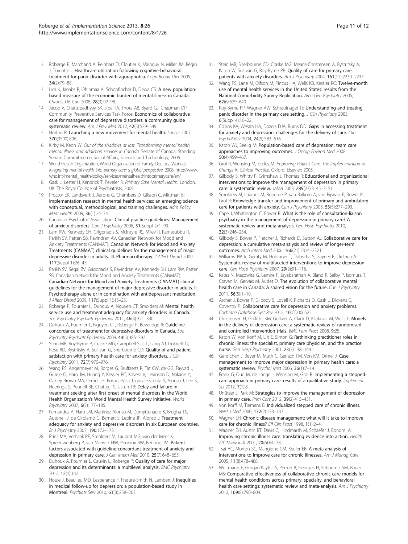- <span id="page-10-0"></span>12. Roberge P, Marchand A, Reinharz D, Cloutier K, Mainguy N, Miller JM, Bégin J, Turcotte J: Healthcare utilization following cognitive-behavioral treatment for panic disorder with agoraphobia. Cogn Behav Ther 2005, 34(2):79–88.
- 13. Lim K, Jacobs P, Ohinmaa A, Schopflocher D, Dewa CS: A new populationbased measure of the economic burden of mental illness in Canada. Chronic Dis Can 2008, 28(3):92–98.
- 14. Jacob V, Chattopadhyay SK, Sipe TA, Thota AB, Byard GJ, Chapman DP, Community Preventive Services Task Force: Economics of collaborative care for management of depressive disorders: a community guide systematic review. Am J Prev Med 2012, 42(5):539-549.
- 15. Horton R: Launching a new movement for mental health. Lancet 2007, 370(9590):806.
- 16. Kirby M, Keon W: Out of the shadows at last. Transforming mental health, mental illness and addiction services in Canada. Senate of Canada: Standing Senate Committee on Social Affairs, Science and Technology; 2006.
- 17. World Health Organization, World Organization of Family Doctors (Wonca): Integrating mental health into primary care: a global perspective. 2008. [http://www.](http://www.who.int/mental_health/policy/services/mentalhealthintoprimarycare/en/) [who.int/mental\\_health/policy/services/mentalhealthintoprimarycare/en/.](http://www.who.int/mental_health/policy/services/mentalhealthintoprimarycare/en/)
- 18. Gask L, Lester H, Kendrick T, Peveler R: Primary Care Mental Health. London, UK: The Royal College of Psychiatrists; 2009.
- 19. Proctor EK, Landsverk J, Aarons G, Chambers D, Glisson C, Mittman B: Implementation research in mental health services: an emerging science with conceptual, methodological, and training challenges. Adm Policy Ment Health 2009, 36(1):24–34.
- 20. Canadian Psychiatric Association: Clinical practice quidelines: Management of anxiety disorders. Can J Psychiatry 2006, 51(Suppl 2):1-93.
- 21. Lam RW, Kennedy SH, Grigoriadis S, McIntyre RS, Milev R, Ramasubbu R, Parikh SV, Patten SB, Ravindran AV, Canadian Network for Mood and Anxiety Treatments (CANMAT): Canadian Network for Mood and Anxiety Treatments (CANMAT) clinical guidelines for the management of major depressive disorder in adults. III. Pharmacotherapy. J Affect Disord 2009, 117(Suppl 1):26–43.
- 22. Parikh SV, Segal ZV, Grigoriadis S, Ravindran AV, Kennedy SH, Lam RW, Patten SB, Canadian Network for Mood and Anxiety Treatments (CANMAT): Canadian Network for Mood and Anxiety Treatments (CANMAT) clinical guidelines for the management of major depressive disorder in adults. II. Psychotherapy alone or in combination with antidepressant medication. J Affect Disord 2009, 117(Suppl 1):15–25.
- 23. Roberge P, Fournier L, Duhoux A, Nguyen CT, Smolders M: Mental health service use and treatment adequacy for anxiety disorders in Canada. Soc Psychiatry Psychiatr Epidemiol 2011, 46(4):321–330.
- 24. Duhoux A, Fournier L, Nguyen CT, Roberge P, Beveridge R: Guideline concordance of treatment for depressive disorders in Canada. Soc Psychiatry Psychiatr Epidemiol 2009, 44(5):385–392.
- 25. Stein MB, Roy-Byrne P, Craske MG, Campbell-Sills L, Lang AJ, Golinelli D, Rose RD, Bystritsky A, Sullivan G, Sherbourne CD: Quality of and patient satisfaction with primary health care for anxiety disorders. J Clin Psychiatry 2011, 72(7):970–976.
- 26. Wang PS, Angermeyer M, Borges G, Bruffaerts R, Tat CW, de GG, Fayyad J, Gureje O, Haro JM, Huang Y, Kessler RC, Kovess V, Levinson D, Nakane Y, Oakley Brown MA, Ormel JH, Posada-Villa J, guilar-Gaxiola S, Alonso J, Lee S, Heeringa S, Pennell BE, Chatterji S, Ustun TB: Delay and failure in treatment seeking after first onset of mental disorders in the World Health Organization's World Mental Health Survey Initiative. World Psychiatry 2007, 6(3):177–185.
- 27. Fernandez A, Haro JM, Martinez-Alonso M, Demyttenaere K, Brugha TS, Autonell J, de Girolamo G, Bernert S, Lepine JP, Alonso J: Treatment adequacy for anxiety and depressive disorders in six European countries. Br J Psychiatry 2007, 190:172–173.
- 28. Prins MA, Verhaak PF, Smolders M, Laurant MG, van der Meer K, Spreeuwenberg P, van Marwijk HW, Penninx BW, Bensing JM: Patient factors associated with guideline-concordant treatment of anxiety and depression in primary care. J Gen Intern Med 2010, 25(7):648-655.
- 29. Duhoux A, Fournier L, Gauvin L, Roberge P: Quality of care for major depression and its determinants: a multilevel analysis. BMC Psychiatry 2012, 12(1):142.
- 30. Houle J, Beaulieu MD, Lesperance F, Frasure-Smith N, Lambert J: Inequities in medical follow-up for depression: a population-based study in Montreal. Psychiatr Serv 2010, 61(3):258–263.
- 31. Stein MB, Sherbourne CD, Craske MG, Means-Christensen A, Bystritsky A, Katon W, Sullivan G, Roy-Byrne PP: Quality of care for primary care patients with anxiety disorders. Am J Psychiatry 2004, 161(12):2230-2237
- 32. Wang PS, Lane M, Olfson M, Pincus HA, Wells KB, Kessler RC: Twelve-month use of mental health services in the United States: results from the National Comorbidity Survey Replication. Arch Gen Psychiatry 2005, 62(6):629–640.
- 33. Roy-Byrne PP, Wagner AW, Schraufnagel TJ: Understanding and treating panic disorder in the primary care setting. J Clin Psychiatry 2005, 6(Suppl 4):16–22.
- 34. Collins KA, Westra HA, Dozois DJA, Burns DD: Gaps in accessing treatment for anxiety and depression: challenges for the delivery of care. Clin Psychol Rev 2004, 24(5):583–616.
- 35. Katon WJ, Seelig M: Population-based care of depression: team care approaches to improving outcomes. J Occup Environ Med 2008, 50(4):459–467.
- 36. Grol R, Wensing M, Eccles M: Improving Patient Care. The Implementation of Change in Clinical Practice. Oxford: Elsevier; 2005.
- 37. Gilbody S, Whitty P, Grimshaw J, Thomas R: Educational and organizational interventions to improve the management of depression in primary care: a systematic review. JAMA 2003, 289(23):3145–3151.
- 38. Smolders M, Laurant M, Roberge P, van Balkom A, van Rijswijk E, Bower P, Grol R: Knowledge transfer and improvement of primary and ambulatory care for patients with anxiety. Can J Psychiatry 2008, 53(5):277-293.
- 39. Cape J, Whittington C, Bower P: What is the role of consultation-liaison psychiatry in the management of depression in primary care? A systematic review and meta-analysis. Gen Hosp Psychiatry 2010, 32(3):246–254.
- 40. Gilbody S, Bower P, Fletcher J, Richards D, Sutton AJ: Collaborative care for depression: a cumulative meta-analysis and review of longer-term outcomes. Arch Intern Med 2006, 166(21):2314–2321.
- 41. Williams JW Jr, Gerrity M, Holsinger T, Dobscha S, Gaynes B, Dietrich A: Systematic review of multifaceted interventions to improve depression care. Gen Hosp Psychiatry 2007, 29(2):91-116.
- 42. Kates N, Mazowita G, Lemire F, Jayabarathan A, Bland R, Selby P, Isomura T, Craven M, Gervais M, Audet D: The evolution of collaborative mental health care in Canada: A shared vision for the future. Can J Psychiatry 2011, 56(5):1–10.
- 43. Archer J, Bower P, Gilbody S, Lovell K, Richards D, Gask L, Dickens C, Coventry P: Collaborative care for depression and anxiety problems. Cochrane Database Syst Rev 2012, 10:CD006525.
- 44. Christensen H, Griffiths KM, Gulliver A, Clack D, Kljakovic M, Wells L: Models in the delivery of depression care: a systematic review of randomised and controlled intervention trials. BMC Fam Pract 2008, 9:25.
- 45. Katon W, Von Korff M, Lin E, Simon G: Rethinking practitioner roles in chronic illness: the specialist, primary care physician, and the practice nurse. Gen Hosp Psychiatry 2001, 23(3):138–144.
- 46. Gensichen J, Beyer M, Muth C, Gerlach FM, Von KM, Ormel J: Case management to improve major depression in primary health care: a systematic review. Psychol Med 2006, 36(1):7–14.
- 47. Franx G, Oud M, de Lange J, Wensing M, Grol R: Implementing a steppedcare approach in primary care: results of a qualitative study. Implement Sci 2012, 7(1):8.
- 48. Unützer J, Park M: Strategies to improve the management of depression in primary care. Prim Care 2012, 39(2):415–431.
- 49. Von Korff M, Tiemens B: Individualized stepped care of chronic illness. West J Med 2000, 172(2):133-137.
- 50. Wagner EH: Chronic disease management: what will it take to improve care for chronic illness? Eff Clin Pract 1998, 1(1):2-4.
- 51. Wagner EH, Austin BT, Davis C, Hindmarsh M, Schaefer J, Bonomi A: Improving chronic illness care: translating evidence into action. Health Aff (Millwood) 2001, 20(6):64–78.
- 52. Tsai AC, Morton SC, Mangione CM, Keeler EB: A meta-analysis of interventions to improve care for chronic illnesses. Am J Manag Care 2005, 11(8):478–488.
- 53. Woltmann E, Grogan-Kaylor A, Perron B, Georges H, Kilbourne AM, Bauer MS: Comparative effectiveness of collaborative chronic care models for mental health conditions across primary, specialty, and behavioral health care settings: systematic review and meta-analysis. Am J Psychiatry 2012, 169(8):790–804.